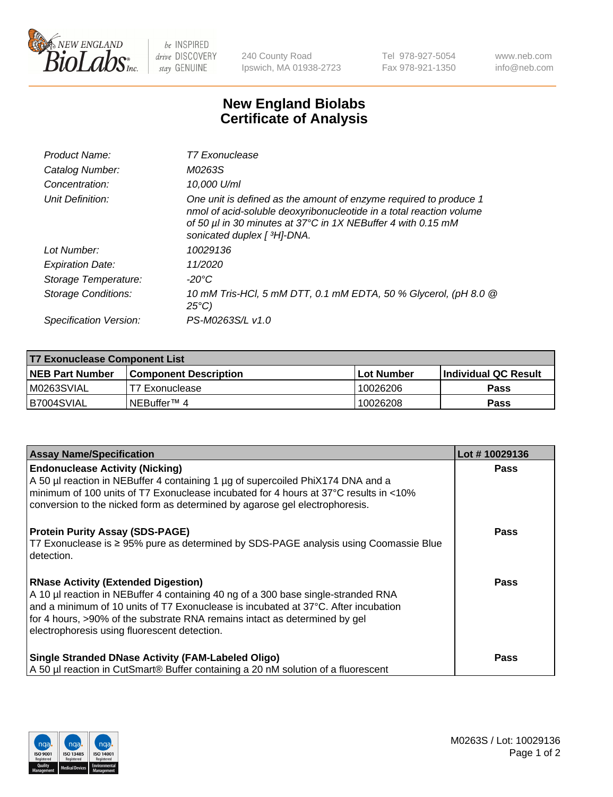

 $be$  INSPIRED drive DISCOVERY stay GENUINE

240 County Road Ipswich, MA 01938-2723 Tel 978-927-5054 Fax 978-921-1350 www.neb.com info@neb.com

## **New England Biolabs Certificate of Analysis**

| Product Name:              | T7 Exonuclease                                                                                                                                                                                                                          |
|----------------------------|-----------------------------------------------------------------------------------------------------------------------------------------------------------------------------------------------------------------------------------------|
| Catalog Number:            | M0263S                                                                                                                                                                                                                                  |
| Concentration:             | 10.000 U/ml                                                                                                                                                                                                                             |
| Unit Definition:           | One unit is defined as the amount of enzyme required to produce 1<br>nmol of acid-soluble deoxyribonucleotide in a total reaction volume<br>of 50 µl in 30 minutes at 37°C in 1X NEBuffer 4 with 0.15 mM<br>sonicated duplex [ 3H]-DNA. |
| Lot Number:                | 10029136                                                                                                                                                                                                                                |
| <b>Expiration Date:</b>    | 11/2020                                                                                                                                                                                                                                 |
| Storage Temperature:       | -20°C                                                                                                                                                                                                                                   |
| <b>Storage Conditions:</b> | 10 mM Tris-HCl, 5 mM DTT, 0.1 mM EDTA, 50 % Glycerol, (pH 8.0 @<br>$25^{\circ}C$                                                                                                                                                        |
| Specification Version:     | PS-M0263S/L v1.0                                                                                                                                                                                                                        |

| T7 Exonuclease Component List |                              |                   |                       |  |
|-------------------------------|------------------------------|-------------------|-----------------------|--|
| NEB Part Number               | <b>Component Description</b> | <b>Lot Number</b> | ∣Individual QC Result |  |
| M0263SVIAL                    | T7 Exonuclease               | 10026206          | <b>Pass</b>           |  |
| B7004SVIAL                    | INEBuffer™ 4                 | 10026208          | <b>Pass</b>           |  |

| <b>Assay Name/Specification</b>                                                                                                                                                                                                                                                                                                                     | Lot #10029136 |
|-----------------------------------------------------------------------------------------------------------------------------------------------------------------------------------------------------------------------------------------------------------------------------------------------------------------------------------------------------|---------------|
| <b>Endonuclease Activity (Nicking)</b><br>A 50 µl reaction in NEBuffer 4 containing 1 µg of supercoiled PhiX174 DNA and a<br>minimum of 100 units of T7 Exonuclease incubated for 4 hours at 37°C results in <10%<br>conversion to the nicked form as determined by agarose gel electrophoresis.                                                    | <b>Pass</b>   |
| <b>Protein Purity Assay (SDS-PAGE)</b><br>T7 Exonuclease is ≥ 95% pure as determined by SDS-PAGE analysis using Coomassie Blue<br>l detection.                                                                                                                                                                                                      | <b>Pass</b>   |
| <b>RNase Activity (Extended Digestion)</b><br>A 10 µl reaction in NEBuffer 4 containing 40 ng of a 300 base single-stranded RNA<br>and a minimum of 10 units of T7 Exonuclease is incubated at 37°C. After incubation<br>for 4 hours, >90% of the substrate RNA remains intact as determined by gel<br>electrophoresis using fluorescent detection. | Pass          |
| <b>Single Stranded DNase Activity (FAM-Labeled Oligo)</b><br>A 50 µl reaction in CutSmart® Buffer containing a 20 nM solution of a fluorescent                                                                                                                                                                                                      | <b>Pass</b>   |